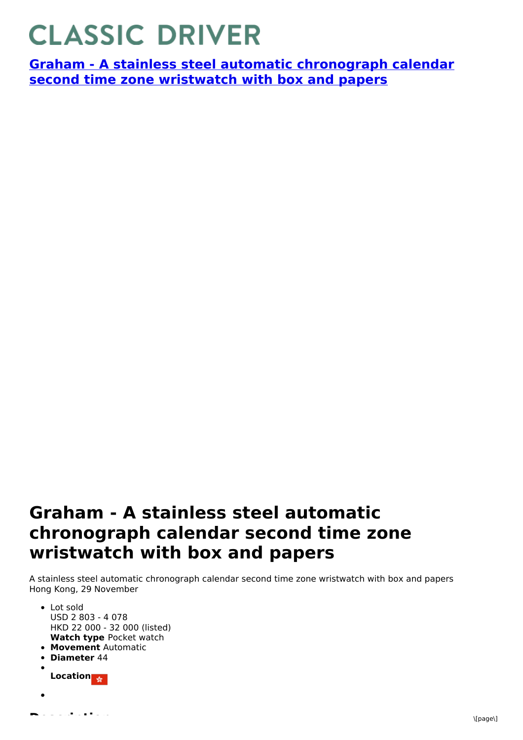## **CLASSIC DRIVER**

**Graham - A stainless steel automatic [chronograph](https://www.classicdriver.com/en/watch/graham/266911) calendar second time zone wristwatch with box and papers**

## **Graham - A stainless steel automatic chronograph calendar second time zone wristwatch with box and papers**

A stainless steel automatic chronograph calendar second time zone wristwatch with box and papers Hong Kong, 29 November

**Watch type** Pocket watch **Movement** Automatic **Diameter** 44 **Location** • Lot sold USD 2 803 - 4 078 HKD 22 000 - 32 000 (listed)